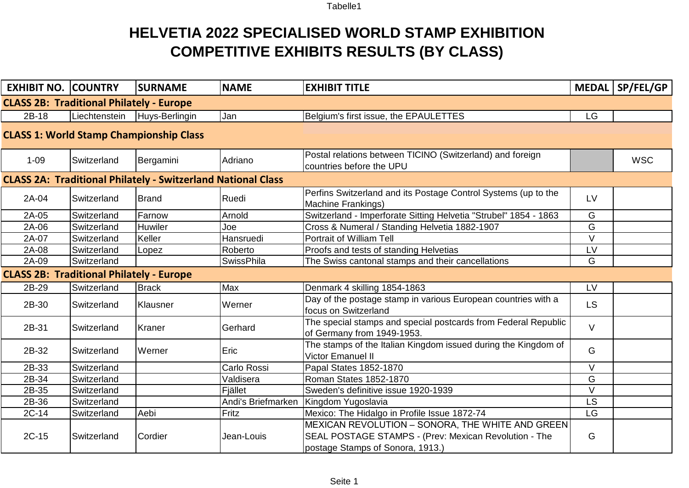## **HELVETIA 2022 SPECIALISED WORLD STAMP EXHIBITION COMPETITIVE EXHIBITS RESULTS (BY CLASS)**

| <b>EXHIBIT NO. COUNTRY</b>                                          |               | <b>SURNAME</b> | <b>NAME</b>        | <b>EXHIBIT TITLE</b>                                                                                                                          |           | MEDAL   SP/FEL/GP |  |  |
|---------------------------------------------------------------------|---------------|----------------|--------------------|-----------------------------------------------------------------------------------------------------------------------------------------------|-----------|-------------------|--|--|
| <b>CLASS 2B: Traditional Philately - Europe</b>                     |               |                |                    |                                                                                                                                               |           |                   |  |  |
| 2B-18                                                               | Liechtenstein | Huys-Berlingin | Jan                | Belgium's first issue, the EPAULETTES                                                                                                         | LG        |                   |  |  |
| <b>CLASS 1: World Stamp Championship Class</b>                      |               |                |                    |                                                                                                                                               |           |                   |  |  |
| $1 - 09$                                                            | Switzerland   | Bergamini      | Adriano            | Postal relations between TICINO (Switzerland) and foreign<br>countries before the UPU                                                         |           | <b>WSC</b>        |  |  |
| <b>CLASS 2A: Traditional Philately - Switzerland National Class</b> |               |                |                    |                                                                                                                                               |           |                   |  |  |
| 2A-04                                                               | Switzerland   | Brand          | Ruedi              | Perfins Switzerland and its Postage Control Systems (up to the<br><b>Machine Frankings)</b>                                                   | LV        |                   |  |  |
| 2A-05                                                               | Switzerland   | Farnow         | Arnold             | Switzerland - Imperforate Sitting Helvetia "Strubel" 1854 - 1863                                                                              | G         |                   |  |  |
| 2A-06                                                               | Switzerland   | <b>Huwiler</b> | Joe                | Cross & Numeral / Standing Helvetia 1882-1907                                                                                                 | G         |                   |  |  |
| 2A-07                                                               | Switzerland   | Keller         | Hansruedi          | Portrait of William Tell                                                                                                                      | $\vee$    |                   |  |  |
| 2A-08                                                               | Switzerland   | Lopez          | Roberto            | Proofs and tests of standing Helvetias                                                                                                        | LV        |                   |  |  |
| 2A-09                                                               | Switzerland   |                | <b>SwissPhila</b>  | The Swiss cantonal stamps and their cancellations                                                                                             | G         |                   |  |  |
| <b>CLASS 2B: Traditional Philately - Europe</b>                     |               |                |                    |                                                                                                                                               |           |                   |  |  |
| 2B-29                                                               | Switzerland   | <b>Brack</b>   | Max                | Denmark 4 skilling 1854-1863                                                                                                                  | LV        |                   |  |  |
| 2B-30                                                               | Switzerland   | Klausner       | Werner             | Day of the postage stamp in various European countries with a<br>focus on Switzerland                                                         | <b>LS</b> |                   |  |  |
| 2B-31                                                               | Switzerland   | Kraner         | Gerhard            | The special stamps and special postcards from Federal Republic<br>of Germany from 1949-1953.                                                  | $\vee$    |                   |  |  |
| 2B-32                                                               | Switzerland   | <b>Werner</b>  | Eric               | The stamps of the Italian Kingdom issued during the Kingdom of<br>Victor Emanuel II                                                           | G         |                   |  |  |
| 2B-33                                                               | Switzerland   |                | Carlo Rossi        | Papal States 1852-1870                                                                                                                        | $\vee$    |                   |  |  |
| 2B-34                                                               | Switzerland   |                | Valdisera          | Roman States 1852-1870                                                                                                                        | G         |                   |  |  |
| 2B-35                                                               | Switzerland   |                | Fjället            | Sweden's definitive issue 1920-1939                                                                                                           | $\vee$    |                   |  |  |
| 2B-36                                                               | Switzerland   |                | Andi's Briefmarken | Kingdom Yugoslavia                                                                                                                            | <b>LS</b> |                   |  |  |
| $2C-14$                                                             | Switzerland   | Aebi           | Fritz              | Mexico: The Hidalgo in Profile Issue 1872-74                                                                                                  | LG        |                   |  |  |
| $2C-15$                                                             | Switzerland   | Cordier        | Jean-Louis         | MEXICAN REVOLUTION - SONORA, THE WHITE AND GREEN<br>SEAL POSTAGE STAMPS - (Prev: Mexican Revolution - The<br>postage Stamps of Sonora, 1913.) | G         |                   |  |  |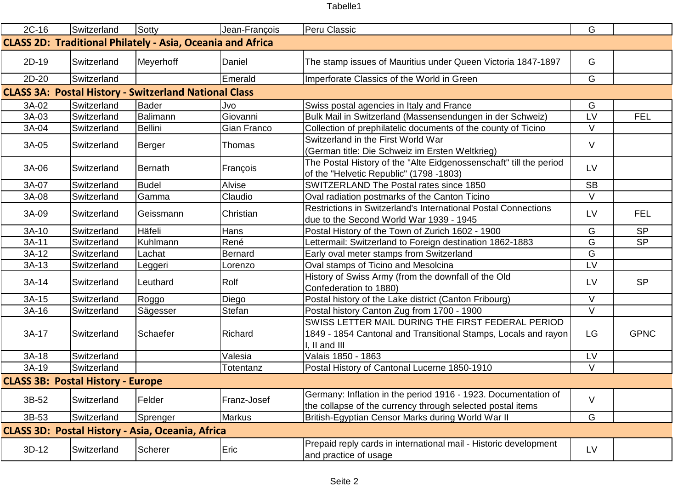| $2C-16$                                                           | Switzerland | Sotty          | Jean-François  | Peru Classic                                                                                                                         | G         |             |  |
|-------------------------------------------------------------------|-------------|----------------|----------------|--------------------------------------------------------------------------------------------------------------------------------------|-----------|-------------|--|
| <b>CLASS 2D: Traditional Philately - Asia, Oceania and Africa</b> |             |                |                |                                                                                                                                      |           |             |  |
| 2D-19                                                             | Switzerland | Meyerhoff      | Daniel         | The stamp issues of Mauritius under Queen Victoria 1847-1897                                                                         | G         |             |  |
| $2D-20$                                                           | Switzerland |                | Emerald        | Imperforate Classics of the World in Green                                                                                           | G         |             |  |
| <b>CLASS 3A: Postal History - Switzerland National Class</b>      |             |                |                |                                                                                                                                      |           |             |  |
| 3A-02                                                             | Switzerland | Bader          | Jvo            | Swiss postal agencies in Italy and France                                                                                            | G         |             |  |
| 3A-03                                                             | Switzerland | Balimann       | Giovanni       | Bulk Mail in Switzerland (Massensendungen in der Schweiz)                                                                            | LV        | <b>FEL</b>  |  |
| 3A-04                                                             | Switzerland | <b>Bellini</b> | Gian Franco    | Collection of prephilatelic documents of the county of Ticino                                                                        | $\vee$    |             |  |
| 3A-05                                                             | Switzerland | Berger         | Thomas         | Switzerland in the First World War<br>(German title: Die Schweiz im Ersten Weltkrieg)                                                | $\vee$    |             |  |
| 3A-06                                                             | Switzerland | Bernath        | François       | The Postal History of the "Alte Eidgenossenschaft" till the period<br>of the "Helvetic Republic" (1798 -1803)                        | LV        |             |  |
| 3A-07                                                             | Switzerland | <b>Budel</b>   | Alvise         | SWITZERLAND The Postal rates since 1850                                                                                              | <b>SB</b> |             |  |
| 3A-08                                                             | Switzerland | Gamma          | Claudio        | Oval radiation postmarks of the Canton Ticino                                                                                        | $\vee$    |             |  |
| 3A-09                                                             | Switzerland | Geissmann      | Christian      | Restrictions in Switzerland's International Postal Connections<br>due to the Second World War 1939 - 1945                            | LV        | <b>FEL</b>  |  |
| $3A-10$                                                           | Switzerland | Häfeli         | Hans           | Postal History of the Town of Zurich 1602 - 1900                                                                                     | G         | <b>SP</b>   |  |
| $3A-11$                                                           | Switzerland | Kuhlmann       | René           | Lettermail: Switzerland to Foreign destination 1862-1883                                                                             | G         | <b>SP</b>   |  |
| $3A-12$                                                           | Switzerland | Lachat         | <b>Bernard</b> | Early oval meter stamps from Switzerland                                                                                             | G         |             |  |
| $3A-13$                                                           | Switzerland | Leggeri        | Lorenzo        | Oval stamps of Ticino and Mesolcina                                                                                                  | LV        |             |  |
| $3A-14$                                                           | Switzerland | Leuthard       | Rolf           | History of Swiss Army (from the downfall of the Old<br>Confederation to 1880)                                                        | LV        | <b>SP</b>   |  |
| 3A-15                                                             | Switzerland | Roggo          | Diego          | Postal history of the Lake district (Canton Fribourg)                                                                                | $\vee$    |             |  |
| $3A-16$                                                           | Switzerland | Sägesser       | Stefan         | Postal history Canton Zug from 1700 - 1900                                                                                           | V         |             |  |
| 3A-17                                                             | Switzerland | Schaefer       | Richard        | SWISS LETTER MAIL DURING THE FIRST FEDERAL PERIOD<br>1849 - 1854 Cantonal and Transitional Stamps, Locals and rayon<br>I, II and III | LG        | <b>GPNC</b> |  |
| $3A-18$                                                           | Switzerland |                | Valesia        | Valais 1850 - 1863                                                                                                                   | LV        |             |  |
| 3A-19                                                             | Switzerland |                | Totentanz      | Postal History of Cantonal Lucerne 1850-1910                                                                                         | $\vee$    |             |  |
| <b>CLASS 3B: Postal History - Europe</b>                          |             |                |                |                                                                                                                                      |           |             |  |
| 3B-52                                                             | Switzerland | Felder         | Franz-Josef    | Germany: Inflation in the period 1916 - 1923. Documentation of<br>the collapse of the currency through selected postal items         | V         |             |  |
| 3B-53                                                             | Switzerland | Sprenger       | Markus         | British-Egyptian Censor Marks during World War II                                                                                    | G         |             |  |
| <b>CLASS 3D: Postal History - Asia, Oceania, Africa</b>           |             |                |                |                                                                                                                                      |           |             |  |
| $3D-12$                                                           | Switzerland | <b>Scherer</b> | Eric           | Prepaid reply cards in international mail - Historic development<br>and practice of usage                                            | <b>LV</b> |             |  |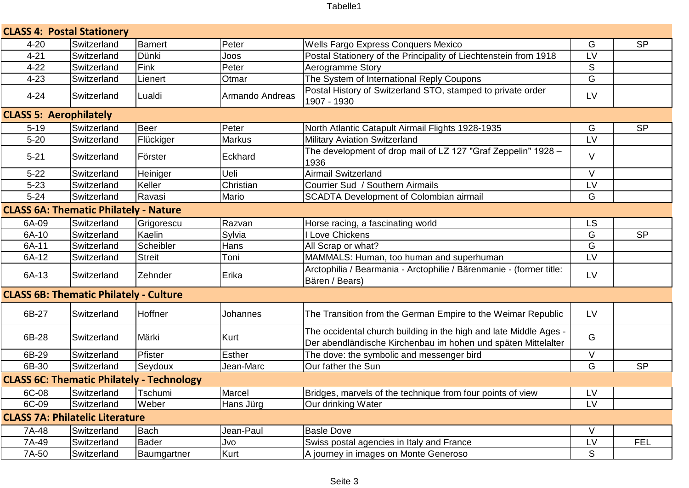| <b>CLASS 4: Postal Stationery</b>                |             |                 |                 |                                                                                                                                    |           |            |  |
|--------------------------------------------------|-------------|-----------------|-----------------|------------------------------------------------------------------------------------------------------------------------------------|-----------|------------|--|
| $4 - 20$                                         | Switzerland | Bamert          | Peter           | Wells Fargo Express Conquers Mexico                                                                                                | G         | <b>SP</b>  |  |
| $4 - 21$                                         | Switzerland | Dünki           | Joos            | Postal Stationery of the Principality of Liechtenstein from 1918                                                                   | LV        |            |  |
| $4 - 22$                                         | Switzerland | Fink            | Peter           | Aerogramme Story                                                                                                                   | S         |            |  |
| $4 - 23$                                         | Switzerland | Lienert         | Otmar           | The System of International Reply Coupons                                                                                          | G         |            |  |
| $4 - 24$                                         | Switzerland | Lualdi          | Armando Andreas | Postal History of Switzerland STO, stamped to private order<br>1907 - 1930                                                         | LV        |            |  |
| <b>CLASS 5: Aerophilately</b>                    |             |                 |                 |                                                                                                                                    |           |            |  |
| $5 - 19$                                         | Switzerland | Beer            | Peter           | North Atlantic Catapult Airmail Flights 1928-1935                                                                                  | G         | <b>SP</b>  |  |
| $5 - 20$                                         | Switzerland | Flückiger       | <b>Markus</b>   | <b>Military Aviation Switzerland</b>                                                                                               | LV        |            |  |
| $5 - 21$                                         | Switzerland | <b>Förster</b>  | Eckhard         | The development of drop mail of LZ 127 "Graf Zeppelin" 1928 -<br>1936                                                              | $\vee$    |            |  |
| $5 - 22$                                         | Switzerland | <b>Heiniger</b> | Ueli            | <b>Airmail Switzerland</b>                                                                                                         | $\vee$    |            |  |
| $5 - 23$                                         | Switzerland | Keller          | Christian       | Courrier Sud / Southern Airmails                                                                                                   | LV        |            |  |
| $5 - 24$                                         | Switzerland | Ravasi          | Mario           | SCADTA Development of Colombian airmail                                                                                            | G         |            |  |
| <b>CLASS 6A: Thematic Philately - Nature</b>     |             |                 |                 |                                                                                                                                    |           |            |  |
| 6A-09                                            | Switzerland | Grigorescu      | Razvan          | Horse racing, a fascinating world                                                                                                  | <b>LS</b> |            |  |
| 6A-10                                            | Switzerland | Kaelin          | Sylvia          | Love Chickens                                                                                                                      | G         | <b>SP</b>  |  |
| 6A-11                                            | Switzerland | Scheibler       | Hans            | All Scrap or what?                                                                                                                 | G         |            |  |
| 6A-12                                            | Switzerland | <b>Streit</b>   | Toni            | MAMMALS: Human, too human and superhuman                                                                                           | LV        |            |  |
| 6A-13                                            | Switzerland | <b>Zehnder</b>  | Erika           | Arctophilia / Bearmania - Arctophilie / Bärenmanie - (former title:<br>Bären / Bears)                                              | LV        |            |  |
| <b>CLASS 6B: Thematic Philately - Culture</b>    |             |                 |                 |                                                                                                                                    |           |            |  |
| 6B-27                                            | Switzerland | Hoffner         | Johannes        | The Transition from the German Empire to the Weimar Republic                                                                       | LV        |            |  |
| 6B-28                                            | Switzerland | Märki           | Kurt            | The occidental church building in the high and late Middle Ages -<br>Der abendländische Kirchenbau im hohen und späten Mittelalter | G         |            |  |
| 6B-29                                            | Switzerland | Pfister         | <b>Esther</b>   | The dove: the symbolic and messenger bird                                                                                          | $\vee$    |            |  |
| 6B-30                                            | Switzerland | Seydoux         | Jean-Marc       | Our father the Sun                                                                                                                 | G         | <b>SP</b>  |  |
| <b>CLASS 6C: Thematic Philately - Technology</b> |             |                 |                 |                                                                                                                                    |           |            |  |
| 6C-08                                            | Switzerland | Tschumi         | Marcel          | Bridges, marvels of the technique from four points of view                                                                         | LV        |            |  |
| 6C-09                                            | Switzerland | Weber           | Hans Jürg       | Our drinking Water                                                                                                                 | LV        |            |  |
| <b>CLASS 7A: Philatelic Literature</b>           |             |                 |                 |                                                                                                                                    |           |            |  |
| 7A-48                                            | Switzerland | Bach            | Jean-Paul       | <b>Basle Dove</b>                                                                                                                  | $\vee$    |            |  |
| 7A-49                                            | Switzerland | Bader           | Jvo             | Swiss postal agencies in Italy and France                                                                                          | LV        | <b>FEL</b> |  |
| 7A-50                                            | Switzerland | Baumgartner     | Kurt            | A journey in images on Monte Generoso                                                                                              | S         |            |  |